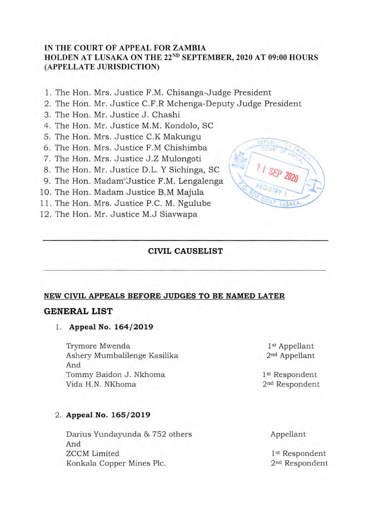## **IN THE COURT OF APPEAL FOR ZAMBIA HOLDEN AT LUSAKA ON THE** 22ND **SEPTEMBER, 2020 AT 09:00 HOURS (APPELLATE JURISDICTION)**

- 1. The Hon. Mrs. Justice F.M. Chisanga-Judge President
- 2. The Hon. Mr. Justice C.F.R Mchenga-Deputy Judge President
- 3. The Hon. Mr. Justice J. Chashi
- 4. The Hon. Mr. Justice M.M. Kondolo, SC
- 5. The Hon. Mrs. Justice C.K Makungu
- **6. The Hon.**  Mrs. Justice F.M Chishimba
- 7. The Hon. Mrs, Justice J.Z Mulongoti
- 8. The Hon. Mr. Justice D.L. Y Sichinga, SC
- 9. The Hon. Madam Justice F.M. Lengalenga
- 10. The Hon. Madam Justice B.M Majula
- 11. The Hon. Mrs. Justice P.C. M. Ngulube
- 12. The Hon. Mr. Justice M.J Siavwapa



### **CIVIL CAUSELIST**

#### **NEW CIVIL APPEALS BEFORE JUDGES TO BE NAMED LATER**

#### **GENERAL LIST**

#### 1. **Appeal No. 164/2019**

Trymore Mwenda 1st Appellant Ashery Mumbalilenge Kasilika 2<sup>nd</sup> Appellant And Tommy Baidon J. Nkhoma 1st Respondent Vida H.N. NKhoma 2<sup>nd</sup> Respondent

# 2. **Appeal No. 165/2019**

Darius Yundayunda & 752 others And ZCCM Limited Konkala Copper Mines Plc.

Appellant

1<sup>st</sup> Respondent 2<sup>nd</sup> Respondent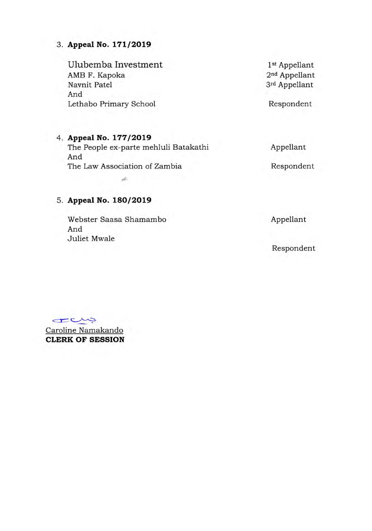# 3. **Appeal No. 171/2019**

Ulubemba Investment 1st Appellant<br>
1st Appellant<br>
2<sup>nd</sup> Appellant AMB F. Kapoka Navnit Patel 3rd Appellant And Lethabo Primary School and Respondent

# **4. Appeal No. 177/2019**

The People ex-parte mehluli Batakathi And The Law Association of Zambia Appellant Respondent

# **5. Appeal No. 180/2019**

Webster Saasa Shamambo And Juliet Mwale

à.

Appellant

Respondent

rais

Caroline Namakando **CLERK OF SESSION**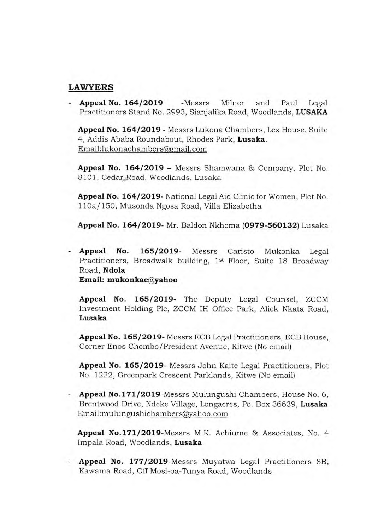## **LAWYERS**

- **Appeal No. 164/2019** -Messrs Milner and Paul Legal Practitioners Stand No. 2993, Sianjalika Road, Woodlands, LUSAKA

**Appeal No. 164/2019** - Messrs Lukona Chambers, Lex House, Suite 4, Addis Ababa Roundabout, Rhodes Park, **Lusaka.**  Email: lukonachambers@gmail.com

**Appeal No. 164/2019** - Messrs Shamwana & Company, Plot No. 8101, Cedar Road, Woodlands, Lusaka

**Appeal No. 164/2019-** National Legal Aid Clinic for Women, Plot No. 1 10a/ 150, Musonda Ngosa Road, Villa Elizabetha

**Appeal No. 164/2019-** Mr. Baldon Nkhoma **(0979-560132)** Lusaka

**Appeal No. 165/2019-** Messrs Caristo Mukonka Legal Practitioners, Broadwalk building, 1<sup>st</sup> Floor, Suite 18 Broadway Road, **Ndola Email: mukonkac@yahoo** 

**Appeal No. 165/2019-** The Deputy Legal Counsel, ZCCM Investment Holding Plc, ZCCM IH Office Park, Alick Nkata Road, **Lusaka** 

**Appeal No. 165/2019-** Messrs ECB Legal Practitioners, ECB House, Corner Enos Chombo/President Avenue, Kitwe (No email)

**Appeal No. 165/2019-** Messrs John Kaite Legal Practitioners, Plot No. 1222, Greenpark Crescent Parklands, Kitwe (No email)

**Appeal No. 171/2019-Messrs** Mulungushi Chambers, House No. 6, Brentwood Drive, Ndeke Village, Longacres, Po. Box 36639, **Lusaka**  Email:mulungushichambers@yahoo.com

**Appeal No.171/2019-Messrs** M.K. Achiume & Associates, No. 4 Impala Road, Woodlands, **Lusaka** 

- **Appeal No. 177/2019-Messrs** Muyatwa Legal Practitioners 8B, Kawama Road, Off Mosi-oa-Tunya Road, Woodlands